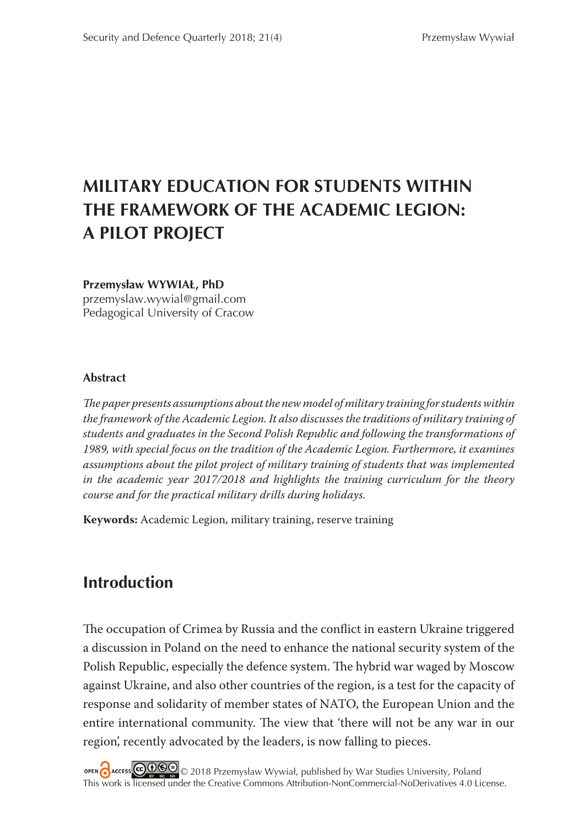# **MILITARY EDUCATION FOR STUDENTS WITHIN THE FRAMEWORK OF THE ACADEMIC LEGION: A PILOT PROJECT**

#### **Przemysław WYWIAŁ, PhD**

przemyslaw.wywial@gmail.com Pedagogical University of Cracow

#### **Abstract**

The paper presents assumptions about the new model of military training for students within *the framework of the Academic Legion. It also discusses the traditions of military training of students and graduates in the Second Polish Republic and following the transformations of 1989, with special focus on the tradition of the Academic Legion. Furthermore, it examines assumptions about the pilot project of military training of students that was implemented in the academic year 2017/2018 and highlights the training curriculum for the theory course and for the practical military drills during holidays.* 

**Keywords:** Academic Legion, military training, reserve training

### **Introduction**

The occupation of Crimea by Russia and the conflict in eastern Ukraine triggered a discussion in Poland on the need to enhance the national security system of the Polish Republic, especially the defence system. The hybrid war waged by Moscow against Ukraine, and also other countries of the region, is a test for the capacity of response and solidarity of member states of NATO, the European Union and the entire international community. The view that 'there will not be any war in our region', recently advocated by the leaders, is now falling to pieces.

OPEN CACCESS COOOO C 2018 Przemysław Wywiał, published by War Studies University, Poland This work is licensed under the Creative Commons Attribution-NonCommercial-NoDerivatives 4.0 License.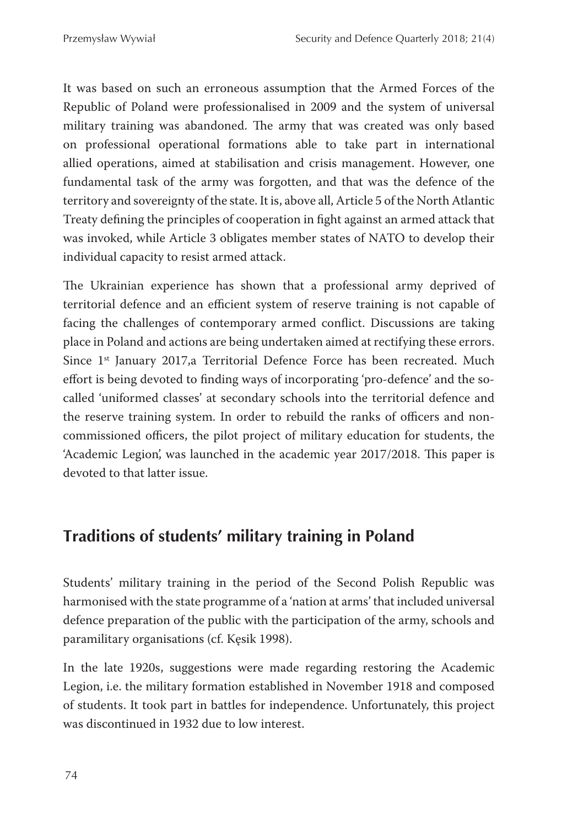It was based on such an erroneous assumption that the Armed Forces of the Republic of Poland were professionalised in 2009 and the system of universal military training was abandoned. The army that was created was only based on professional operational formations able to take part in international allied operations, aimed at stabilisation and crisis management. However, one fundamental task of the army was forgotten, and that was the defence of the territory and sovereignty of the state. It is, above all, Article 5 of the North Atlantic Treaty defining the principles of cooperation in fight against an armed attack that was invoked, while Article 3 obligates member states of NATO to develop their individual capacity to resist armed attack.

The Ukrainian experience has shown that a professional army deprived of territorial defence and an efficient system of reserve training is not capable of facing the challenges of contemporary armed conflict. Discussions are taking place in Poland and actions are being undertaken aimed at rectifying these errors. Since  $1<sup>st</sup>$  January 2017,a Territorial Defence Force has been recreated. Much effort is being devoted to finding ways of incorporating 'pro-defence' and the socalled 'uniformed classes' at secondary schools into the territorial defence and the reserve training system. In order to rebuild the ranks of officers and noncommissioned officers, the pilot project of military education for students, the 'Academic Legion', was launched in the academic year 2017/2018. This paper is devoted to that latter issue.

## **Traditions of students' military training in Poland**

Students' military training in the period of the Second Polish Republic was harmonised with the state programme of a 'nation at arms' that included universal defence preparation of the public with the participation of the army, schools and paramilitary organisations (cf. Kęsik 1998).

In the late 1920s, suggestions were made regarding restoring the Academic Legion, i.e. the military formation established in November 1918 and composed of students. It took part in battles for independence. Unfortunately, this project was discontinued in 1932 due to low interest.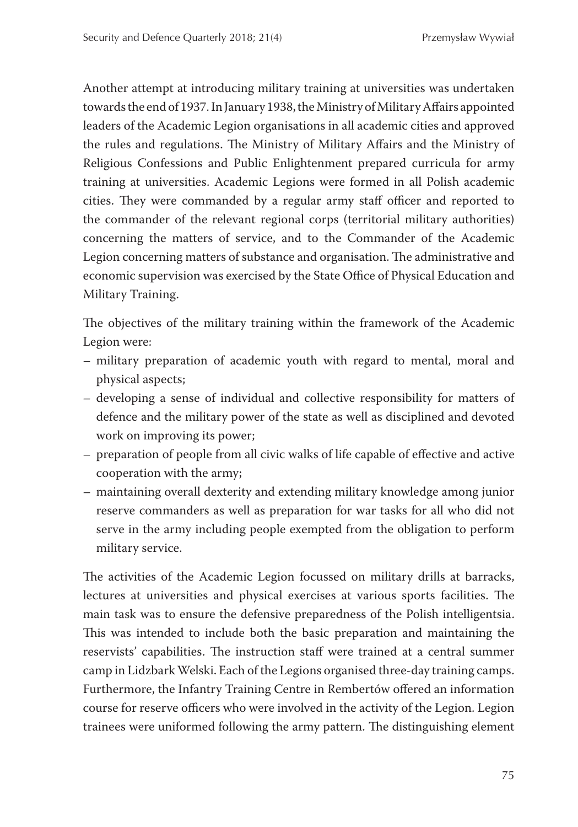Another attempt at introducing military training at universities was undertaken towards the end of 1937. In January 1938, the Ministry of Military Affairs appointed leaders of the Academic Legion organisations in all academic cities and approved the rules and regulations. The Ministry of Military Affairs and the Ministry of Religious Confessions and Public Enlightenment prepared curricula for army training at universities. Academic Legions were formed in all Polish academic cities. They were commanded by a regular army staff officer and reported to the commander of the relevant regional corps (territorial military authorities) concerning the matters of service, and to the Commander of the Academic Legion concerning matters of substance and organisation. The administrative and economic supervision was exercised by the State Office of Physical Education and Military Training.

The objectives of the military training within the framework of the Academic Legion were:

- military preparation of academic youth with regard to mental, moral and physical aspects;
- developing a sense of individual and collective responsibility for matters of defence and the military power of the state as well as disciplined and devoted work on improving its power;
- preparation of people from all civic walks of life capable of effective and active cooperation with the army;
- maintaining overall dexterity and extending military knowledge among junior reserve commanders as well as preparation for war tasks for all who did not serve in the army including people exempted from the obligation to perform military service.

The activities of the Academic Legion focussed on military drills at barracks, lectures at universities and physical exercises at various sports facilities. The main task was to ensure the defensive preparedness of the Polish intelligentsia. This was intended to include both the basic preparation and maintaining the reservists' capabilities. The instruction staff were trained at a central summer camp in Lidzbark Welski. Each of the Legions organised three-day training camps. Furthermore, the Infantry Training Centre in Rembertów offered an information course for reserve officers who were involved in the activity of the Legion. Legion trainees were uniformed following the army pattern. The distinguishing element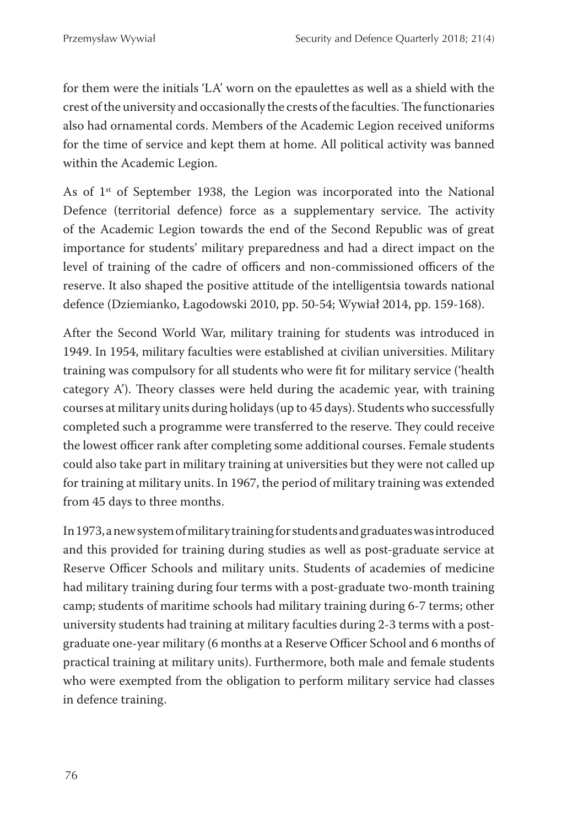for them were the initials 'LA' worn on the epaulettes as well as a shield with the crest of the university and occasionally the crests of the faculties. The functionaries also had ornamental cords. Members of the Academic Legion received uniforms for the time of service and kept them at home. All political activity was banned within the Academic Legion.

As of 1<sup>st</sup> of September 1938, the Legion was incorporated into the National Defence (territorial defence) force as a supplementary service. The activity of the Academic Legion towards the end of the Second Republic was of great importance for students' military preparedness and had a direct impact on the level of training of the cadre of officers and non-commissioned officers of the reserve. It also shaped the positive attitude of the intelligentsia towards national defence (Dziemianko, Łagodowski 2010, pp. 50-54; Wywiał 2014, pp. 159-168).

After the Second World War, military training for students was introduced in 1949. In 1954, military faculties were established at civilian universities. Military training was compulsory for all students who were fit for military service ('health category  $A'$ ). Theory classes were held during the academic year, with training courses at military units during holidays (up to 45 days). Students who successfully completed such a programme were transferred to the reserve. They could receive the lowest officer rank after completing some additional courses. Female students could also take part in military training at universities but they were not called up for training at military units. In 1967, the period of military training was extended from 45 days to three months.

In 1973, a new system of military training for students and graduates was introduced and this provided for training during studies as well as post-graduate service at Reserve Officer Schools and military units. Students of academies of medicine had military training during four terms with a post-graduate two-month training camp; students of maritime schools had military training during 6-7 terms; other university students had training at military faculties during 2-3 terms with a postgraduate one-year military (6 months at a Reserve Officer School and 6 months of practical training at military units). Furthermore, both male and female students who were exempted from the obligation to perform military service had classes in defence training.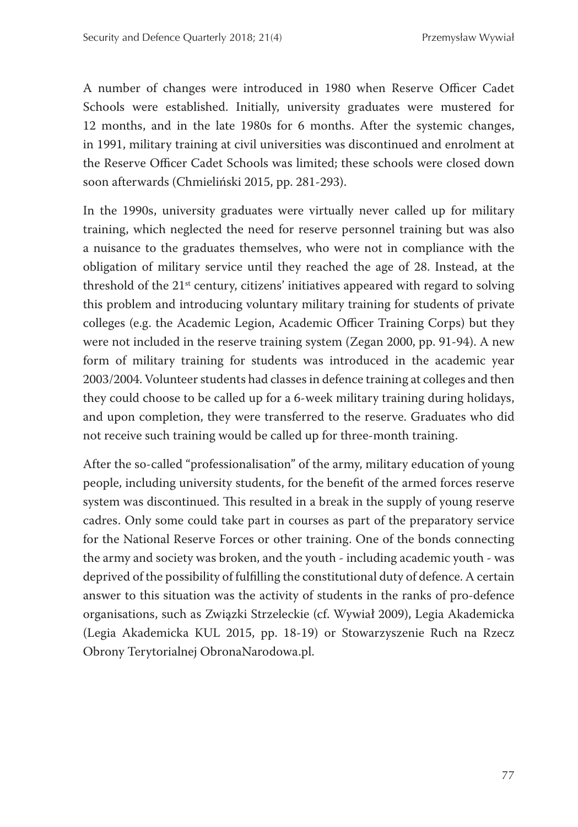A number of changes were introduced in 1980 when Reserve Officer Cadet Schools were established. Initially, university graduates were mustered for 12 months, and in the late 1980s for 6 months. After the systemic changes, in 1991, military training at civil universities was discontinued and enrolment at the Reserve Officer Cadet Schools was limited; these schools were closed down soon afterwards (Chmieliński 2015, pp. 281-293).

In the 1990s, university graduates were virtually never called up for military training, which neglected the need for reserve personnel training but was also a nuisance to the graduates themselves, who were not in compliance with the obligation of military service until they reached the age of 28. Instead, at the threshold of the 21<sup>st</sup> century, citizens' initiatives appeared with regard to solving this problem and introducing voluntary military training for students of private colleges (e.g. the Academic Legion, Academic Officer Training Corps) but they were not included in the reserve training system (Zegan 2000, pp. 91-94). A new form of military training for students was introduced in the academic year 2003/2004. Volunteer students had classes in defence training at colleges and then they could choose to be called up for a 6-week military training during holidays, and upon completion, they were transferred to the reserve. Graduates who did not receive such training would be called up for three-month training.

After the so-called "professionalisation" of the army, military education of young people, including university students, for the benefit of the armed forces reserve system was discontinued. This resulted in a break in the supply of young reserve cadres. Only some could take part in courses as part of the preparatory service for the National Reserve Forces or other training. One of the bonds connecting the army and society was broken, and the youth - including academic youth - was deprived of the possibility of fulfilling the constitutional duty of defence. A certain answer to this situation was the activity of students in the ranks of pro-defence organisations, such as Związki Strzeleckie (cf. Wywiał 2009), Legia Akademicka (Legia Akademicka KUL 2015, pp. 18-19) or Stowarzyszenie Ruch na Rzecz Obrony Terytorialnej ObronaNarodowa.pl.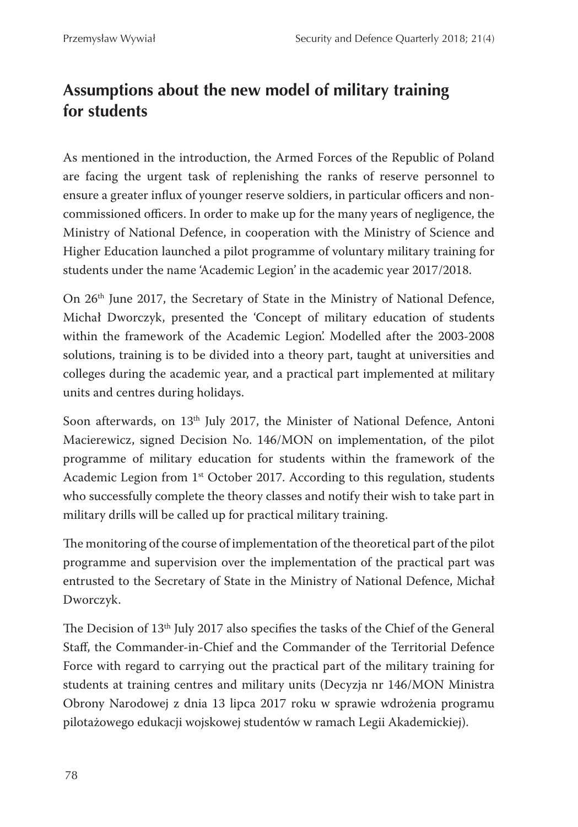## **Assumptions about the new model of military training for students**

As mentioned in the introduction, the Armed Forces of the Republic of Poland are facing the urgent task of replenishing the ranks of reserve personnel to ensure a greater influx of younger reserve soldiers, in particular officers and noncommissioned officers. In order to make up for the many years of negligence, the Ministry of National Defence, in cooperation with the Ministry of Science and Higher Education launched a pilot programme of voluntary military training for students under the name 'Academic Legion' in the academic year 2017/2018.

On 26th June 2017, the Secretary of State in the Ministry of National Defence, Michał Dworczyk, presented the 'Concept of military education of students within the framework of the Academic Legion'. Modelled after the 2003-2008 solutions, training is to be divided into a theory part, taught at universities and colleges during the academic year, and a practical part implemented at military units and centres during holidays.

Soon afterwards, on 13<sup>th</sup> July 2017, the Minister of National Defence, Antoni Macierewicz, signed Decision No. 146/MON on implementation, of the pilot programme of military education for students within the framework of the Academic Legion from 1<sup>st</sup> October 2017. According to this regulation, students who successfully complete the theory classes and notify their wish to take part in military drills will be called up for practical military training.

The monitoring of the course of implementation of the theoretical part of the pilot programme and supervision over the implementation of the practical part was entrusted to the Secretary of State in the Ministry of National Defence, Michał Dworczyk.

The Decision of  $13<sup>th</sup>$  July 2017 also specifies the tasks of the Chief of the General Staff, the Commander-in-Chief and the Commander of the Territorial Defence Force with regard to carrying out the practical part of the military training for students at training centres and military units (Decyzja nr 146/MON Ministra Obrony Narodowej z dnia 13 lipca 2017 roku w sprawie wdrożenia programu pilotażowego edukacji wojskowej studentów w ramach Legii Akademickiej).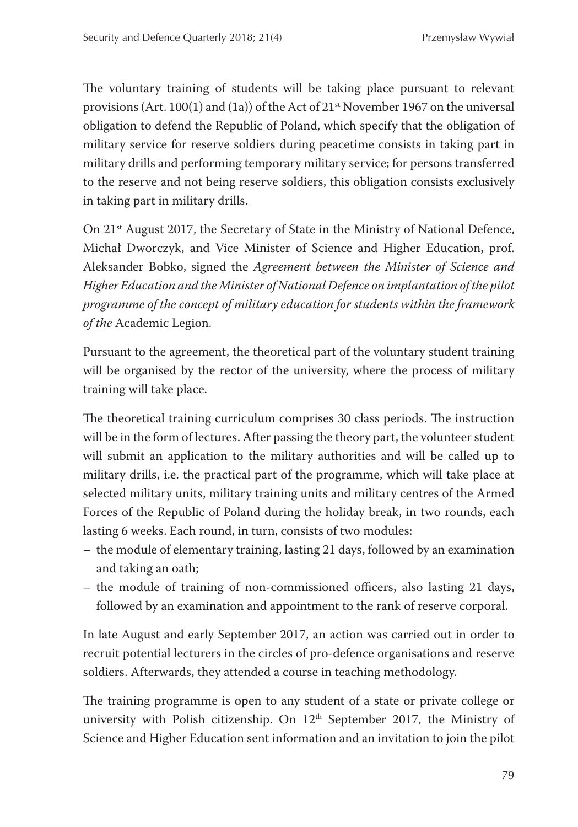The voluntary training of students will be taking place pursuant to relevant provisions (Art. 100(1) and (1a)) of the Act of  $21<sup>st</sup>$  November 1967 on the universal obligation to defend the Republic of Poland, which specify that the obligation of military service for reserve soldiers during peacetime consists in taking part in military drills and performing temporary military service; for persons transferred to the reserve and not being reserve soldiers, this obligation consists exclusively in taking part in military drills.

On 21<sup>st</sup> August 2017, the Secretary of State in the Ministry of National Defence, Michał Dworczyk, and Vice Minister of Science and Higher Education, prof. Aleksander Bobko, signed the *Agreement between the Minister of Science and Higher Education and the Minister of National Defence on implantation of the pilot programme of the concept of military education for students within the framework of the* Academic Legion.

Pursuant to the agreement, the theoretical part of the voluntary student training will be organised by the rector of the university, where the process of military training will take place.

The theoretical training curriculum comprises 30 class periods. The instruction will be in the form of lectures. After passing the theory part, the volunteer student will submit an application to the military authorities and will be called up to military drills, i.e. the practical part of the programme, which will take place at selected military units, military training units and military centres of the Armed Forces of the Republic of Poland during the holiday break, in two rounds, each lasting 6 weeks. Each round, in turn, consists of two modules:

- the module of elementary training, lasting 21 days, followed by an examination and taking an oath;
- $-$  the module of training of non-commissioned officers, also lasting 21 days, followed by an examination and appointment to the rank of reserve corporal.

In late August and early September 2017, an action was carried out in order to recruit potential lecturers in the circles of pro-defence organisations and reserve soldiers. Afterwards, they attended a course in teaching methodology.

The training programme is open to any student of a state or private college or university with Polish citizenship. On 12<sup>th</sup> September 2017, the Ministry of Science and Higher Education sent information and an invitation to join the pilot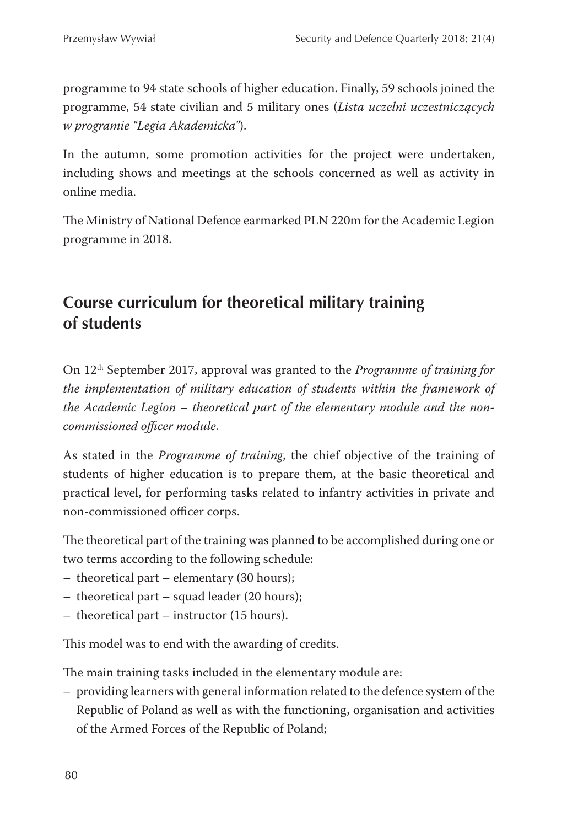programme to 94 state schools of higher education. Finally, 59 schools joined the programme, 54 state civilian and 5 military ones (*Lista uczelni uczestniczących w programie "Legia Akademicka"*).

In the autumn, some promotion activities for the project were undertaken, including shows and meetings at the schools concerned as well as activity in online media.

The Ministry of National Defence earmarked PLN 220m for the Academic Legion programme in 2018.

## **Course curriculum for theoretical military training of students**

On 12th September 2017, approval was granted to the *Programme of training for the implementation of military education of students within the framework of the Academic Legion – theoretical part of the elementary module and the non*commissioned officer module.

As stated in the *Programme of training*, the chief objective of the training of students of higher education is to prepare them, at the basic theoretical and practical level, for performing tasks related to infantry activities in private and non-commissioned officer corps.

The theoretical part of the training was planned to be accomplished during one or two terms according to the following schedule:

- theoretical part elementary (30 hours);
- theoretical part squad leader (20 hours);
- theoretical part instructor (15 hours).

This model was to end with the awarding of credits.

The main training tasks included in the elementary module are:

– providing learners with general information related to the defence system of the Republic of Poland as well as with the functioning, organisation and activities of the Armed Forces of the Republic of Poland;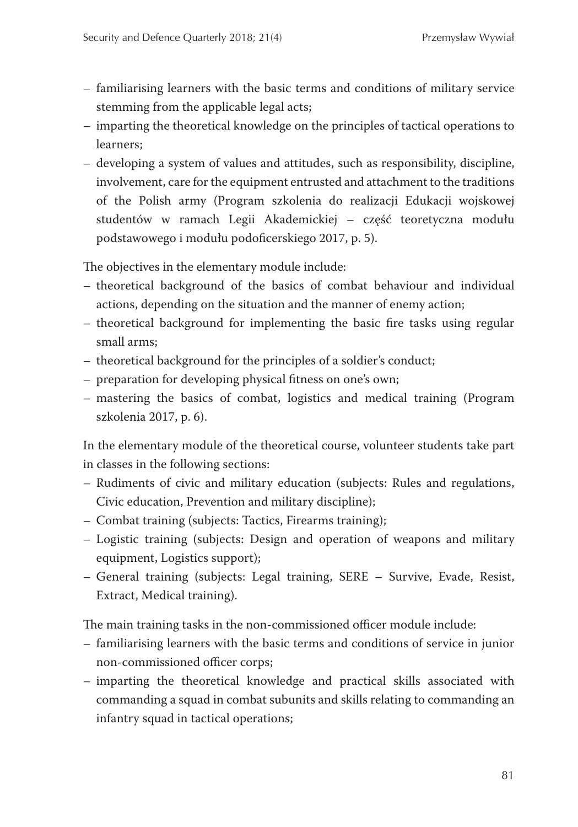- familiarising learners with the basic terms and conditions of military service stemming from the applicable legal acts;
- imparting the theoretical knowledge on the principles of tactical operations to learners;
- developing a system of values and attitudes, such as responsibility, discipline, involvement, care for the equipment entrusted and attachment to the traditions of the Polish army (Program szkolenia do realizacji Edukacji wojskowej studentów w ramach Legii Akademickiej – część teoretyczna modułu podstawowego i modułu podoficerskiego 2017, p. 5).

The objectives in the elementary module include:

- theoretical background of the basics of combat behaviour and individual actions, depending on the situation and the manner of enemy action;
- theoretical background for implementing the basic fire tasks using regular small arms;
- theoretical background for the principles of a soldier's conduct;
- preparation for developing physical fitness on one's own;
- mastering the basics of combat, logistics and medical training (Program szkolenia 2017, p. 6).

In the elementary module of the theoretical course, volunteer students take part in classes in the following sections:

- Rudiments of civic and military education (subjects: Rules and regulations, Civic education, Prevention and military discipline);
- Combat training (subjects: Tactics, Firearms training);
- Logistic training (subjects: Design and operation of weapons and military equipment, Logistics support);
- General training (subjects: Legal training, SERE Survive, Evade, Resist, Extract, Medical training).

The main training tasks in the non-commissioned officer module include:

- familiarising learners with the basic terms and conditions of service in junior non-commissioned officer corps;
- imparting the theoretical knowledge and practical skills associated with commanding a squad in combat subunits and skills relating to commanding an infantry squad in tactical operations;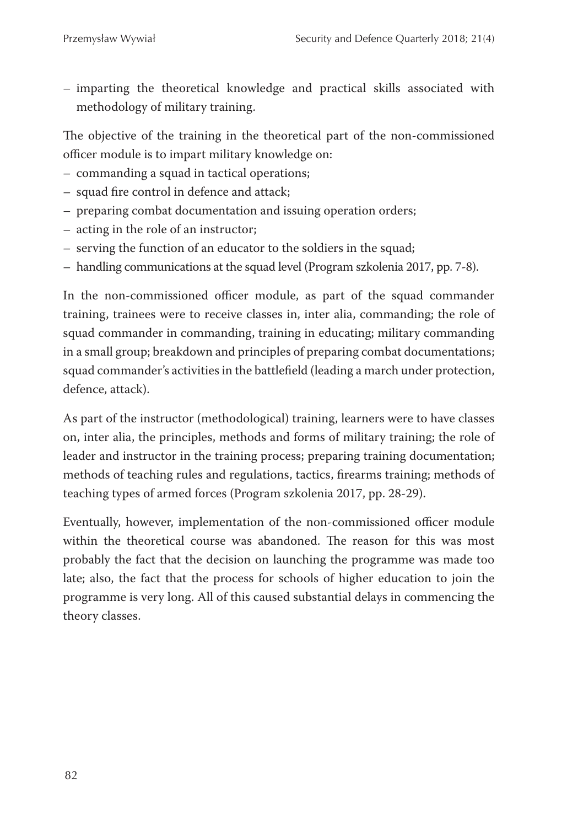– imparting the theoretical knowledge and practical skills associated with methodology of military training.

The objective of the training in the theoretical part of the non-commissioned officer module is to impart military knowledge on:

- commanding a squad in tactical operations;
- squad fire control in defence and attack;
- preparing combat documentation and issuing operation orders;
- acting in the role of an instructor;
- serving the function of an educator to the soldiers in the squad;
- handling communications at the squad level (Program szkolenia 2017, pp. 7-8).

In the non-commissioned officer module, as part of the squad commander training, trainees were to receive classes in, inter alia, commanding; the role of squad commander in commanding, training in educating; military commanding in a small group; breakdown and principles of preparing combat documentations; squad commander's activities in the battlefield (leading a march under protection, defence, attack).

As part of the instructor (methodological) training, learners were to have classes on, inter alia, the principles, methods and forms of military training; the role of leader and instructor in the training process; preparing training documentation; methods of teaching rules and regulations, tactics, firearms training; methods of teaching types of armed forces (Program szkolenia 2017, pp. 28-29).

Eventually, however, implementation of the non-commissioned officer module within the theoretical course was abandoned. The reason for this was most probably the fact that the decision on launching the programme was made too late; also, the fact that the process for schools of higher education to join the programme is very long. All of this caused substantial delays in commencing the theory classes.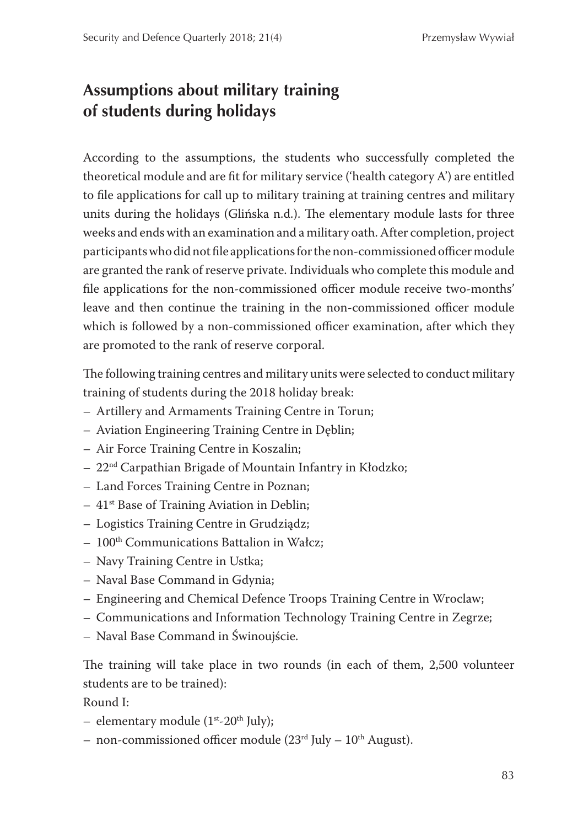### **Assumptions about military training of students during holidays**

According to the assumptions, the students who successfully completed the theoretical module and are fit for military service ('health category A') are entitled to file applications for call up to military training at training centres and military units during the holidays (Glińska n.d.). The elementary module lasts for three weeks and ends with an examination and a military oath. After completion, project participants who did not file applications for the non-commissioned officer module are granted the rank of reserve private. Individuals who complete this module and file applications for the non-commissioned officer module receive two-months' leave and then continue the training in the non-commissioned officer module which is followed by a non-commissioned officer examination, after which they are promoted to the rank of reserve corporal.

The following training centres and military units were selected to conduct military training of students during the 2018 holiday break:

- Artillery and Armaments Training Centre in Torun;
- Aviation Engineering Training Centre in Dęblin;
- Air Force Training Centre in Koszalin;
- 22nd Carpathian Brigade of Mountain Infantry in Kłodzko;
- Land Forces Training Centre in Poznan;
- 41st Base of Training Aviation in Deblin;
- Logistics Training Centre in Grudziądz;
- 100th Communications Battalion in Wałcz;
- Navy Training Centre in Ustka;
- Naval Base Command in Gdynia;
- Engineering and Chemical Defence Troops Training Centre in Wroclaw;
- Communications and Information Technology Training Centre in Zegrze;
- Naval Base Command in Świnoujście.

The training will take place in two rounds (in each of them, 2,500 volunteer students are to be trained):

Round I:

- elementary module  $(1<sup>st</sup>-20<sup>th</sup>)$  July);
- non-commissioned officer module  $(23<sup>rd</sup>)$ uly  $10<sup>th</sup>$  August).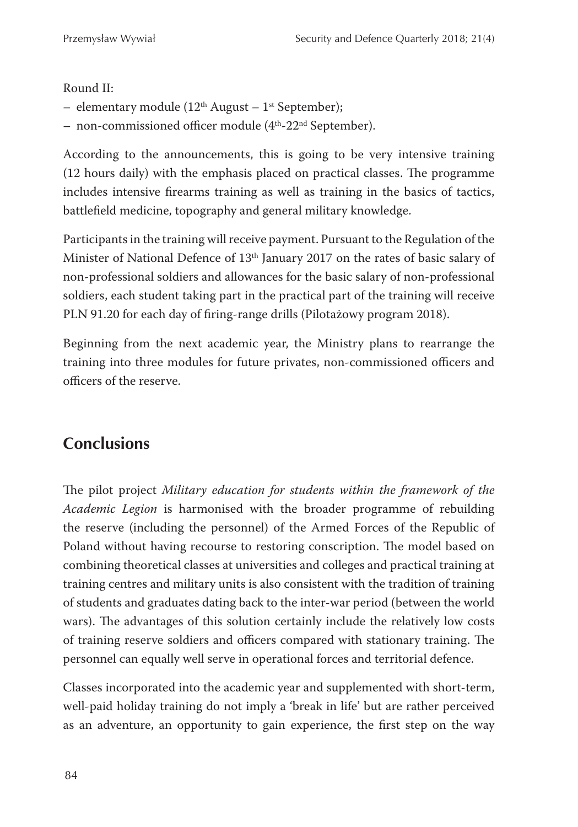Round II:

- elementary module  $(12<sup>th</sup> August 1<sup>st</sup> September);$
- non-commissioned officer module  $(4<sup>th</sup>-22<sup>nd</sup> September)$ .

According to the announcements, this is going to be very intensive training  $(12$  hours daily) with the emphasis placed on practical classes. The programme includes intensive firearms training as well as training in the basics of tactics, battlefield medicine, topography and general military knowledge.

Participants in the training will receive payment. Pursuant to the Regulation of the Minister of National Defence of  $13<sup>th</sup>$  January 2017 on the rates of basic salary of non-professional soldiers and allowances for the basic salary of non-professional soldiers, each student taking part in the practical part of the training will receive PLN 91.20 for each day of firing-range drills (Pilotażowy program 2018).

Beginning from the next academic year, the Ministry plans to rearrange the training into three modules for future privates, non-commissioned officers and officers of the reserve.

### **Conclusions**

The pilot project *Military education for students within the framework of the Academic Legion* is harmonised with the broader programme of rebuilding the reserve (including the personnel) of the Armed Forces of the Republic of Poland without having recourse to restoring conscription. The model based on combining theoretical classes at universities and colleges and practical training at training centres and military units is also consistent with the tradition of training of students and graduates dating back to the inter-war period (between the world wars). The advantages of this solution certainly include the relatively low costs of training reserve soldiers and officers compared with stationary training. The personnel can equally well serve in operational forces and territorial defence.

Classes incorporated into the academic year and supplemented with short-term, well-paid holiday training do not imply a 'break in life' but are rather perceived as an adventure, an opportunity to gain experience, the first step on the way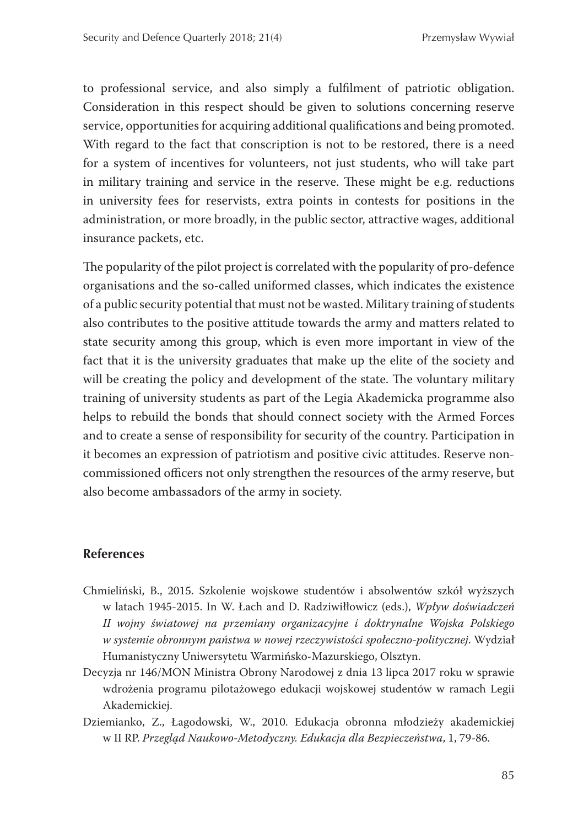to professional service, and also simply a fulfilment of patriotic obligation. Consideration in this respect should be given to solutions concerning reserve service, opportunities for acquiring additional qualifications and being promoted. With regard to the fact that conscription is not to be restored, there is a need for a system of incentives for volunteers, not just students, who will take part in military training and service in the reserve. These might be e.g. reductions in university fees for reservists, extra points in contests for positions in the administration, or more broadly, in the public sector, attractive wages, additional insurance packets, etc.

The popularity of the pilot project is correlated with the popularity of pro-defence organisations and the so-called uniformed classes, which indicates the existence of a public security potential that must not be wasted. Military training of students also contributes to the positive attitude towards the army and matters related to state security among this group, which is even more important in view of the fact that it is the university graduates that make up the elite of the society and will be creating the policy and development of the state. The voluntary military training of university students as part of the Legia Akademicka programme also helps to rebuild the bonds that should connect society with the Armed Forces and to create a sense of responsibility for security of the country. Participation in it becomes an expression of patriotism and positive civic attitudes. Reserve noncommissioned officers not only strengthen the resources of the army reserve, but also become ambassadors of the army in society.

#### **References**

- Chmieliński, B., 2015. Szkolenie wojskowe studentów i absolwentów szkół wyższych w latach 1945-2015. In W. Łach and D. Radziwiłłowicz (eds.), *Wpływ doświadczeń II wojny światowej na przemiany organizacyjne i doktrynalne Wojska Polskiego w systemie obronnym państwa w nowej rzeczywistości społeczno-politycznej*. Wydział Humanistyczny Uniwersytetu Warmińsko-Mazurskiego, Olsztyn.
- Decyzja nr 146/MON Ministra Obrony Narodowej z dnia 13 lipca 2017 roku w sprawie wdrożenia programu pilotażowego edukacji wojskowej studentów w ramach Legii Akademickiej.
- Dziemianko, Z., Łagodowski, W., 2010. Edukacja obronna młodzieży akademickiej w II RP. *Przegląd Naukowo-Metodyczny. Edukacja dla Bezpieczeństwa*, 1, 79-86.